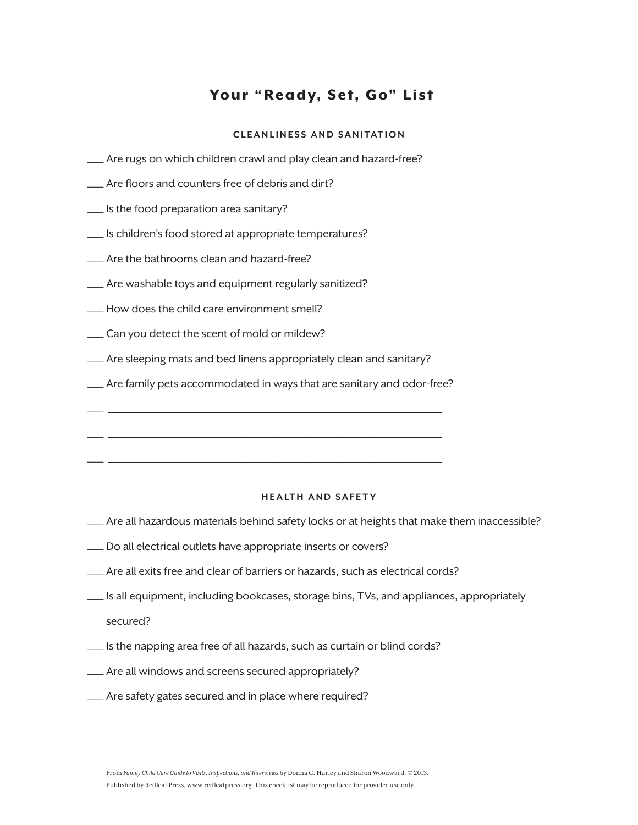## Your "Ready, Set, Go" List

## **CLEANLINESS AND SANITATION**

- —Are rugs on which children crawl and play clean and hazard-free?
- —Are floors and counters free of debris and dirt?
- —Is the food preparation area sanitary?
- —Is children's food stored at appropriate temperatures?
- —Are the bathrooms clean and hazard-free?
- —Are washable toys and equipment regularly sanitized?
- —How does the child care environment smell?
- —Can you detect the scent of mold or mildew?
- —Are sleeping mats and bed linens appropriately clean and sanitary?
- —Are family pets accommodated in ways that are sanitary and odor-free?

— \_\_\_\_\_\_\_\_\_\_\_\_\_\_\_\_\_\_\_\_\_\_\_\_\_\_\_\_\_\_\_\_\_\_\_\_\_\_\_\_\_\_\_\_\_\_\_\_\_\_\_\_\_\_\_\_\_\_\_\_\_\_\_\_\_\_\_\_\_\_\_\_\_\_\_\_\_\_\_\_\_

— \_\_\_\_\_\_\_\_\_\_\_\_\_\_\_\_\_\_\_\_\_\_\_\_\_\_\_\_\_\_\_\_\_\_\_\_\_\_\_\_\_\_\_\_\_\_\_\_\_\_\_\_\_\_\_\_\_\_\_\_\_\_\_\_\_\_\_\_\_\_\_\_\_\_\_\_\_\_\_\_\_

— \_\_\_\_\_\_\_\_\_\_\_\_\_\_\_\_\_\_\_\_\_\_\_\_\_\_\_\_\_\_\_\_\_\_\_\_\_\_\_\_\_\_\_\_\_\_\_\_\_\_\_\_\_\_\_\_\_\_\_\_\_\_\_\_\_\_\_\_\_\_\_\_\_\_\_\_\_\_\_\_\_

## **HEALTH AND SAFET Y**

- —Are all hazardous materials behind safety locks or at heights that make them inaccessible?
- —Do all electrical outlets have appropriate inserts or covers?
- —Are all exits free and clear of barriers or hazards, such as electrical cords?
- —Is all equipment, including bookcases, storage bins, TVs, and appliances, appropriately secured?
- —Is the napping area free of all hazards, such as curtain or blind cords?
- —Are all windows and screens secured appropriately?
- —Are safety gates secured and in place where required?